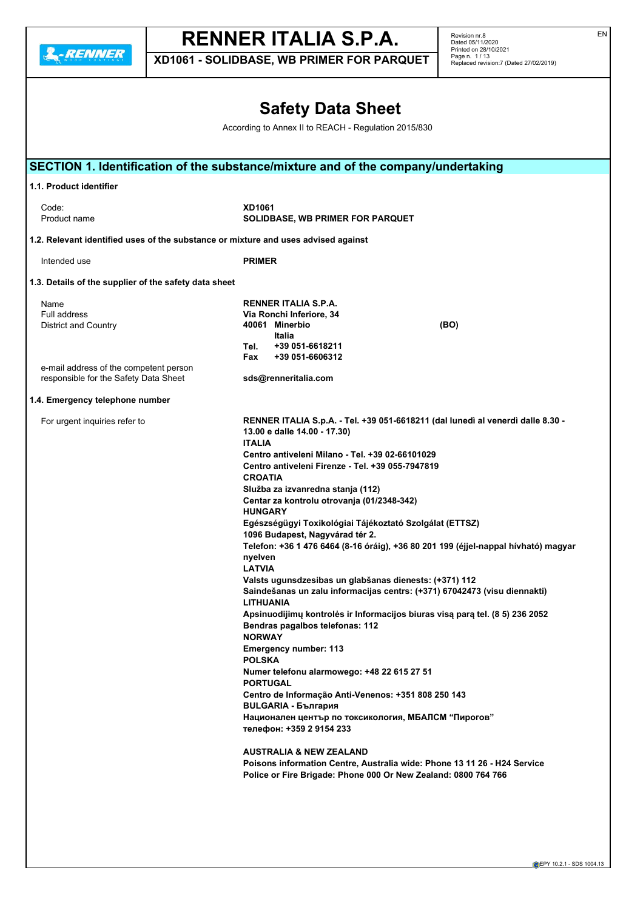**2.**-RENNER

# **RENNER ITALIA S.P.A.**

**XD1061 - SOLIDBASE, WB PRIMER FOR PARQUET**

Revision nr.8 Dated 05/11/2020 Printed on 28/10/2021 Page n. 1 / 13 Replaced revision:7 (Dated 27/02/2019)

## **Safety Data Sheet**

According to Annex II to REACH - Regulation 2015/830

|                                                                                    | SECTION 1. Identification of the substance/mixture and of the company/undertaking                                                          |
|------------------------------------------------------------------------------------|--------------------------------------------------------------------------------------------------------------------------------------------|
| 1.1. Product identifier                                                            |                                                                                                                                            |
| Code:                                                                              | XD1061                                                                                                                                     |
| Product name                                                                       | <b>SOLIDBASE, WB PRIMER FOR PARQUET</b>                                                                                                    |
| 1.2. Relevant identified uses of the substance or mixture and uses advised against |                                                                                                                                            |
| Intended use                                                                       | <b>PRIMER</b>                                                                                                                              |
| 1.3. Details of the supplier of the safety data sheet                              |                                                                                                                                            |
| Name                                                                               | RENNER ITALIA S.P.A.                                                                                                                       |
| Full address                                                                       | Via Ronchi Inferiore, 34                                                                                                                   |
| <b>District and Country</b>                                                        | 40061 Minerbio<br>(BO)<br>Italia                                                                                                           |
|                                                                                    | +39 051-6618211<br>Tel.                                                                                                                    |
| e-mail address of the competent person                                             | +39 051-6606312<br>Fax                                                                                                                     |
| responsible for the Safety Data Sheet                                              | sds@renneritalia.com                                                                                                                       |
| 1.4. Emergency telephone number                                                    |                                                                                                                                            |
| For urgent inquiries refer to                                                      | RENNER ITALIA S.p.A. - Tel. +39 051-6618211 (dal lunedì al venerdì dalle 8.30 -                                                            |
|                                                                                    | 13.00 e dalle 14.00 - 17.30)<br><b>ITALIA</b>                                                                                              |
|                                                                                    | Centro antiveleni Milano - Tel. +39 02-66101029                                                                                            |
|                                                                                    | Centro antiveleni Firenze - Tel. +39 055-7947819                                                                                           |
|                                                                                    | <b>CROATIA</b>                                                                                                                             |
|                                                                                    | Služba za izvanredna stanja (112)                                                                                                          |
|                                                                                    | Centar za kontrolu otrovanja (01/2348-342)                                                                                                 |
|                                                                                    | <b>HUNGARY</b><br>Egészségügyi Toxikológiai Tájékoztató Szolgálat (ETTSZ)                                                                  |
|                                                                                    | 1096 Budapest, Nagyvárad tér 2.                                                                                                            |
|                                                                                    | Telefon: +36 1 476 6464 (8-16 óráig), +36 80 201 199 (éjjel-nappal hívható) magyar                                                         |
|                                                                                    | nyelven                                                                                                                                    |
|                                                                                    | <b>LATVIA</b>                                                                                                                              |
|                                                                                    | Valsts ugunsdzesibas un glabšanas dienests: (+371) 112                                                                                     |
|                                                                                    | Saindešanas un zalu informacijas centrs: (+371) 67042473 (visu diennakti)<br><b>LITHUANIA</b>                                              |
|                                                                                    | Apsinuodijimų kontrolės ir Informacijos biuras visą parą tel. (8 5) 236 2052                                                               |
|                                                                                    | Bendras pagalbos telefonas: 112                                                                                                            |
|                                                                                    | <b>NORWAY</b>                                                                                                                              |
|                                                                                    | <b>Emergency number: 113</b>                                                                                                               |
|                                                                                    | <b>POLSKA</b>                                                                                                                              |
|                                                                                    | Numer telefonu alarmowego: +48 22 615 27 51<br><b>PORTUGAL</b>                                                                             |
|                                                                                    | Centro de Informação Anti-Venenos: +351 808 250 143                                                                                        |
|                                                                                    | <b>BULGARIA - България</b>                                                                                                                 |
|                                                                                    | Национален център по токсикология, МБАЛСМ "Пирогов"<br>телефон: +359 2 9154 233                                                            |
|                                                                                    | <b>AUSTRALIA &amp; NEW ZEALAND</b>                                                                                                         |
|                                                                                    | Poisons information Centre, Australia wide: Phone 13 11 26 - H24 Service<br>Police or Fire Brigade: Phone 000 Or New Zealand: 0800 764 766 |
|                                                                                    |                                                                                                                                            |

EN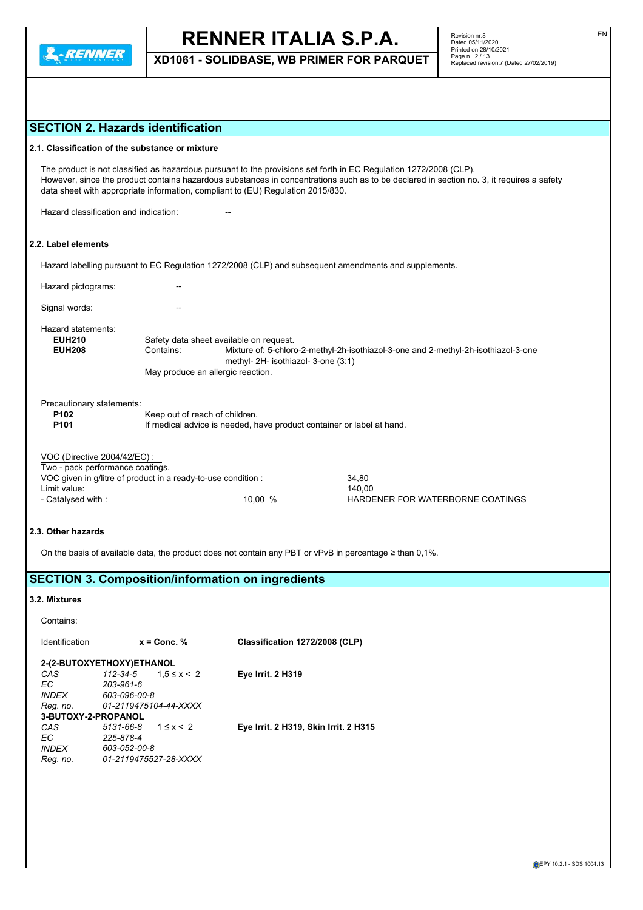

**XD1061 - SOLIDBASE, WB PRIMER FOR PARQUET**

## **SECTION 2. Hazards identification**

#### **2.1. Classification of the substance or mixture**

The product is not classified as hazardous pursuant to the provisions set forth in EC Regulation 1272/2008 (CLP). However, since the product contains hazardous substances in concentrations such as to be declared in section no. 3, it requires a safety data sheet with appropriate information, compliant to (EU) Regulation 2015/830.

Hazard classification and indication:

## **2.2. Label elements**

Hazard labelling pursuant to EC Regulation 1272/2008 (CLP) and subsequent amendments and supplements.

Hazard pictograms: --Signal words: Hazard statements:<br>EUH210 **EUH210** Safety data sheet available on request.<br>**EUH208** Contains: Mixture of: 5-chlore **EUH208** Contains: Mixture of: 5-chloro-2-methyl-2h-isothiazol-3-one and 2-methyl-2h-isothiazol-3-one methyl- 2H- isothiazol- 3-one (3:1) May produce an allergic reaction. Precautionary statements: **P102** Keep out of reach of children.<br>**P101** If medical advice is needed, h If medical advice is needed, have product container or label at hand.

| VOC (Directive 2004/42/EC) :                                  |        |  |
|---------------------------------------------------------------|--------|--|
| Two - pack performance coatings.                              |        |  |
| VOC given in g/litre of product in a ready-to-use condition : | 34.80  |  |
| Limit voluo:                                                  | 110.00 |  |

Limit value: 140,00 - Catalysed with : 10,00 % HARDENER FOR WATERBORNE COATINGS

#### **2.3. Other hazards**

On the basis of available data, the product does not contain any PBT or vPvB in percentage ≥ than 0,1%.

### **SECTION 3. Composition/information on ingredients**

#### **3.2. Mixtures**

Contains:

| Identification      | $x =$ Conc. %                 | Classification 1272/2008 (CLP)        |
|---------------------|-------------------------------|---------------------------------------|
|                     | 2-(2-BUTOXYETHOXY)ETHANOL     |                                       |
| CAS                 | 112-34-5<br>$1.5 \le x \le 2$ | <b>Eye Irrit. 2 H319</b>              |
| EC.                 | 203-961-6                     |                                       |
| <b>INDEX</b>        | 603-096-00-8                  |                                       |
| Reg. no.            | 01-2119475104-44-XXXX         |                                       |
| 3-BUTOXY-2-PROPANOL |                               |                                       |
| CAS                 | $5131 - 66 - 8$ $1 \le x < 2$ | Eye Irrit. 2 H319, Skin Irrit. 2 H315 |
| EC                  | 225-878-4                     |                                       |
| <b>INDFX</b>        | 603-052-00-8                  |                                       |
| Reg. no.            | 01-2119475527-28-XXXX         |                                       |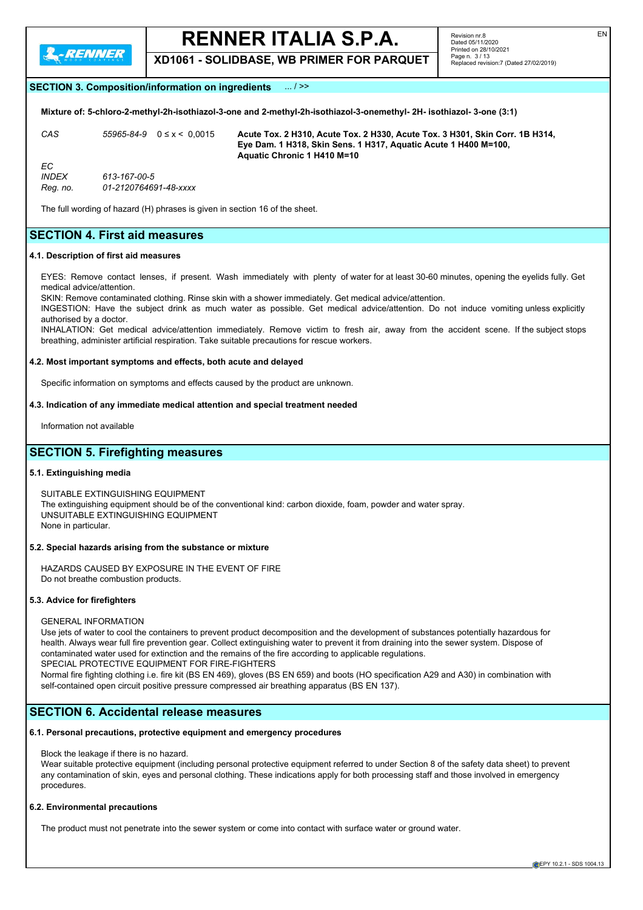

**XD1061 - SOLIDBASE, WB PRIMER FOR PARQUET**

#### **SECTION 3. Composition/information on ingredients** ... / >>

**Mixture of: 5-chloro-2-methyl-2h-isothiazol-3-one and 2-methyl-2h-isothiazol-3-onemethyl- 2H- isothiazol- 3-one (3:1)**

*CAS 55965-84-9* 0 ≤ x < 0,0015 **Acute Tox. 2 H310, Acute Tox. 2 H330, Acute Tox. 3 H301, Skin Corr. 1B H314, Eye Dam. 1 H318, Skin Sens. 1 H317, Aquatic Acute 1 H400 M=100, Aquatic Chronic 1 H410 M=10** *EC INDEX 613-167-00-5 Reg. no. 01-2120764691-48-xxxx*

The full wording of hazard (H) phrases is given in section 16 of the sheet.

### **SECTION 4. First aid measures**

#### **4.1. Description of first aid measures**

EYES: Remove contact lenses, if present. Wash immediately with plenty of water for at least 30-60 minutes, opening the eyelids fully. Get medical advice/attention.

SKIN: Remove contaminated clothing. Rinse skin with a shower immediately. Get medical advice/attention.

INGESTION: Have the subject drink as much water as possible. Get medical advice/attention. Do not induce vomiting unless explicitly authorised by a doctor.

INHALATION: Get medical advice/attention immediately. Remove victim to fresh air, away from the accident scene. If the subject stops breathing, administer artificial respiration. Take suitable precautions for rescue workers.

#### **4.2. Most important symptoms and effects, both acute and delayed**

Specific information on symptoms and effects caused by the product are unknown.

#### **4.3. Indication of any immediate medical attention and special treatment needed**

Information not available

### **SECTION 5. Firefighting measures**

#### **5.1. Extinguishing media**

SUITABLE EXTINGUISHING EQUIPMENT The extinguishing equipment should be of the conventional kind: carbon dioxide, foam, powder and water spray. UNSUITABLE EXTINGUISHING EQUIPMENT None in particular.

#### **5.2. Special hazards arising from the substance or mixture**

HAZARDS CAUSED BY EXPOSURE IN THE EVENT OF FIRE Do not breathe combustion products.

#### **5.3. Advice for firefighters**

GENERAL INFORMATION

Use jets of water to cool the containers to prevent product decomposition and the development of substances potentially hazardous for health. Always wear full fire prevention gear. Collect extinguishing water to prevent it from draining into the sewer system. Dispose of contaminated water used for extinction and the remains of the fire according to applicable regulations. SPECIAL PROTECTIVE EQUIPMENT FOR FIRE-FIGHTERS

Normal fire fighting clothing i.e. fire kit (BS EN 469), gloves (BS EN 659) and boots (HO specification A29 and A30) in combination with

self-contained open circuit positive pressure compressed air breathing apparatus (BS EN 137).

## **SECTION 6. Accidental release measures**

#### **6.1. Personal precautions, protective equipment and emergency procedures**

Block the leakage if there is no hazard.

Wear suitable protective equipment (including personal protective equipment referred to under Section 8 of the safety data sheet) to prevent any contamination of skin, eyes and personal clothing. These indications apply for both processing staff and those involved in emergency procedures.

#### **6.2. Environmental precautions**

The product must not penetrate into the sewer system or come into contact with surface water or ground water.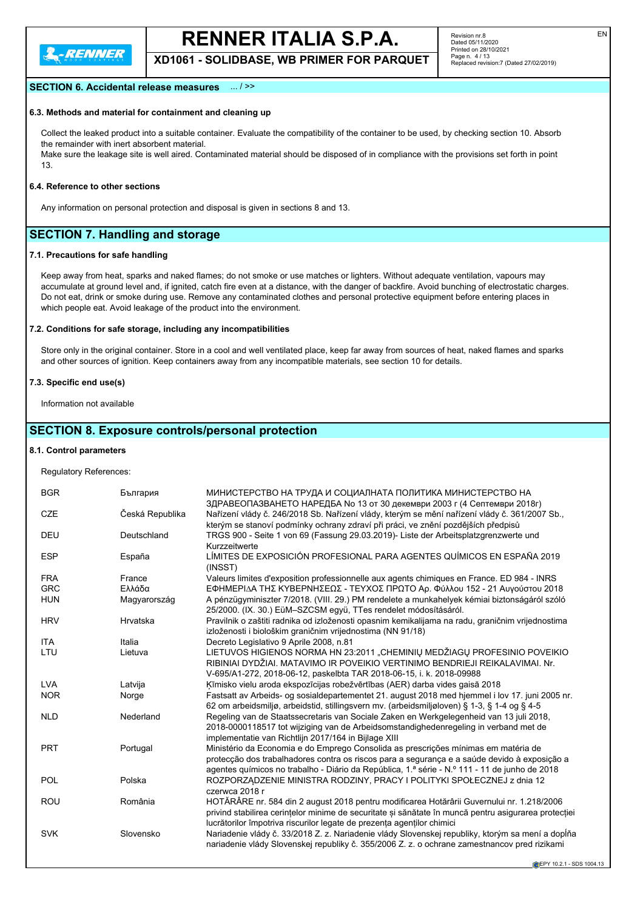

**XD1061 - SOLIDBASE, WB PRIMER FOR PARQUET**

#### **SECTION 6. Accidental release measures** ... / >>

#### **6.3. Methods and material for containment and cleaning up**

Collect the leaked product into a suitable container. Evaluate the compatibility of the container to be used, by checking section 10. Absorb the remainder with inert absorbent material.

Make sure the leakage site is well aired. Contaminated material should be disposed of in compliance with the provisions set forth in point 13.

#### **6.4. Reference to other sections**

Any information on personal protection and disposal is given in sections 8 and 13.

## **SECTION 7. Handling and storage**

#### **7.1. Precautions for safe handling**

Keep away from heat, sparks and naked flames; do not smoke or use matches or lighters. Without adequate ventilation, vapours may accumulate at ground level and, if ignited, catch fire even at a distance, with the danger of backfire. Avoid bunching of electrostatic charges. Do not eat, drink or smoke during use. Remove any contaminated clothes and personal protective equipment before entering places in which people eat. Avoid leakage of the product into the environment.

#### **7.2. Conditions for safe storage, including any incompatibilities**

Store only in the original container. Store in a cool and well ventilated place, keep far away from sources of heat, naked flames and sparks and other sources of ignition. Keep containers away from any incompatible materials, see section 10 for details.

#### **7.3. Specific end use(s)**

Information not available

#### **SECTION 8. Exposure controls/personal protection**

#### **8.1. Control parameters**

Regulatory References:

| <b>BGR</b> | България        | МИНИСТЕРСТВО НА ТРУДА И СОЦИАЛНАТА ПОЛИТИКА МИНИСТЕРСТВО НА<br>ЗДРАВЕОПАЗВАНЕТО НАРЕДБА No 13 от 30 декември 2003 г (4 Септември 2018г)                                            |
|------------|-----------------|------------------------------------------------------------------------------------------------------------------------------------------------------------------------------------|
| <b>CZE</b> | Česká Republika | Nařízení vlády č. 246/2018 Sb. Nařízení vlády, kterým se mění nařízení vlády č. 361/2007 Sb.,<br>kterým se stanoví podmínky ochrany zdraví při práci, ve znění pozdějších předpisů |
| <b>DEU</b> | Deutschland     | TRGS 900 - Seite 1 von 69 (Fassung 29.03.2019)- Liste der Arbeitsplatzgrenzwerte und<br>Kurzzeitwerte                                                                              |
| <b>ESP</b> | España          | LÍMITES DE EXPOSICIÓN PROFESIONAL PARA AGENTES QUÍMICOS EN ESPAÑA 2019<br>(INSST)                                                                                                  |
| <b>FRA</b> | France          | Valeurs limites d'exposition professionnelle aux agents chimiques en France. ED 984 - INRS                                                                                         |
| <b>GRC</b> | Ελλάδα          | ΕΦΗΜΕΡΙΔΑ ΤΗΣ ΚΥΒΕΡΝΗΣΕΩΣ - ΤΕΥΧΟΣ ΠΡΩΤΟ Αρ. Φύλλου 152 - 21 Αυγούστου 2018                                                                                                        |
| <b>HUN</b> | Magyarország    | A pénzügyminiszter 7/2018. (VIII. 29.) PM rendelete a munkahelyek kémiai biztonságáról szóló                                                                                       |
|            |                 | 25/2000. (IX. 30.) EüM-SZCSM együ, TTes rendelet módosításáról.                                                                                                                    |
| <b>HRV</b> | Hrvatska        | Pravilnik o zaštiti radnika od izloženosti opasnim kemikalijama na radu, graničnim vrijednostima<br>izloženosti i biološkim graničnim vrijednostima (NN 91/18)                     |
| <b>ITA</b> | Italia          | Decreto Legislativo 9 Aprile 2008, n.81                                                                                                                                            |
| LTU        | Lietuva         | LIETUVOS HIGIENOS NORMA HN 23:2011 "CHEMINIŲ MEDŽIAGŲ PROFESINIO POVEIKIO                                                                                                          |
|            |                 | RIBINIAI DYDŽIAI. MATAVIMO IR POVEIKIO VERTINIMO BENDRIEJI REIKALAVIMAI. Nr.<br>V-695/A1-272, 2018-06-12, paskelbta TAR 2018-06-15, i. k. 2018-09988                               |
| <b>LVA</b> | Latvija         | Kīmisko vielu aroda ekspozīcijas robežvērtības (AER) darba vides gaisā 2018                                                                                                        |
| <b>NOR</b> | Norge           | Fastsatt av Arbeids- og sosialdepartementet 21. august 2018 med hjemmel i lov 17. juni 2005 nr.                                                                                    |
|            |                 | 62 om arbeidsmiljø, arbeidstid, stillingsvern mv. (arbeidsmiljøloven) § 1-3, § 1-4 og § 4-5                                                                                        |
| <b>NLD</b> | Nederland       | Regeling van de Staatssecretaris van Sociale Zaken en Werkgelegenheid van 13 juli 2018,                                                                                            |
|            |                 | 2018-0000118517 tot wijziging van de Arbeidsomstandighedenregeling in verband met de<br>implementatie van Richtlijn 2017/164 in Bijlage XIII                                       |
| <b>PRT</b> | Portugal        | Ministério da Economia e do Emprego Consolida as prescrições mínimas em matéria de                                                                                                 |
|            |                 | protecção dos trabalhadores contra os riscos para a segurança e a saúde devido à exposição a                                                                                       |
|            |                 | agentes químicos no trabalho - Diário da República, 1.ª série - N.º 111 - 11 de junho de 2018                                                                                      |
| POL        | Polska          | ROZPORZĄDZENIE MINISTRA RODZINY, PRACY I POLITYKI SPOŁECZNEJ z dnia 12                                                                                                             |
|            |                 | czerwca 2018 r                                                                                                                                                                     |
| <b>ROU</b> | România         | HOTĂRÂRE nr. 584 din 2 august 2018 pentru modificarea Hotărârii Guvernului nr. 1.218/2006                                                                                          |
|            |                 | privind stabilirea cerințelor minime de securitate și sănătate în muncă pentru asigurarea protecției                                                                               |
|            |                 | lucrătorilor împotriva riscurilor legate de prezența agenților chimici                                                                                                             |
| <b>SVK</b> | Slovensko       | Nariadenie vlády č. 33/2018 Z. z. Nariadenie vlády Slovenskej republiky, ktorým sa mení a dopĺňa                                                                                   |
|            |                 | nariadenie vlády Slovenskej republiky č. 355/2006 Z. z. o ochrane zamestnancov pred rizikami                                                                                       |
|            |                 |                                                                                                                                                                                    |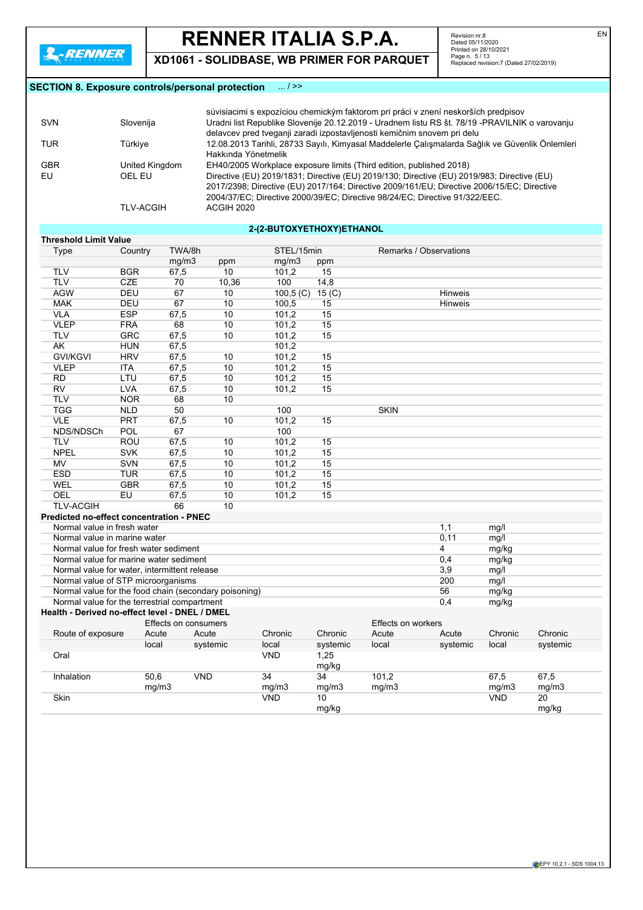**XD1061 - SOLIDBASE, WB PRIMER FOR PARQUET**

Revision nr.8<br>Dated 05/11/2020<br>Printed on 28/10/2021<br>Page n. 5 / 13<br>Replaced revision:7 (Dated 27/02/2019)

### **SECTION 8. Exposure controls/personal protection** ... / >>

|            |                  | súvisiacimi s expozíciou chemickým faktorom pri práci v znení neskorších predpisov              |
|------------|------------------|-------------------------------------------------------------------------------------------------|
| <b>SVN</b> | Slovenija        | Uradni list Republike Slovenije 20.12.2019 - Uradnem listu RS št. 78/19 - PRAVILNIK o varovanju |
|            |                  | delavcev pred tveganji zaradi izpostavljenosti kemičnim snovem pri delu                         |
| TUR        | Türkive          | 12.08.2013 Tarihli, 28733 Sayılı, Kimyasal Maddelerle Çalışmalarda Sağlık ve Güvenlik Önlemleri |
|            |                  | Hakkında Yönetmelik                                                                             |
| <b>GBR</b> | United Kingdom   | EH40/2005 Workplace exposure limits (Third edition, published 2018)                             |
| EU         | OEL EU           | Directive (EU) 2019/1831; Directive (EU) 2019/130; Directive (EU) 2019/983; Directive (EU)      |
|            |                  | 2017/2398; Directive (EU) 2017/164; Directive 2009/161/EU; Directive 2006/15/EC; Directive      |
|            |                  | 2004/37/EC; Directive 2000/39/EC; Directive 98/24/EC; Directive 91/322/EEC.                     |
|            | <b>TLV-ACGIH</b> | <b>ACGIH 2020</b>                                                                               |
|            |                  |                                                                                                 |

### **2-(2-BUTOXYETHOXY)ETHANOL**

| <b>Threshold Limit Value</b><br><b>Type</b>           | Country    | TWA/8h               |           | STEL/15min        |                         | Remarks / Observations |                |            |          |
|-------------------------------------------------------|------------|----------------------|-----------|-------------------|-------------------------|------------------------|----------------|------------|----------|
|                                                       |            | mg/m3                |           | mg/m3             |                         |                        |                |            |          |
| <b>TLV</b>                                            | <b>BGR</b> | 67,5                 | ppm<br>10 | 101,2             | ppm<br>15               |                        |                |            |          |
| <b>TLV</b>                                            | <b>CZE</b> | 70                   | 10,36     | 100               | 14,8                    |                        |                |            |          |
| <b>AGW</b>                                            | DEU        | 67                   | 10        |                   |                         |                        | <b>Hinweis</b> |            |          |
| <b>MAK</b>                                            | <b>DEU</b> | 67                   | 10        | 100,5(C)<br>100,5 | 15 <sub>(C)</sub><br>15 |                        | <b>Hinweis</b> |            |          |
|                                                       |            |                      |           |                   |                         |                        |                |            |          |
| <b>VLA</b>                                            | <b>ESP</b> | 67,5                 | 10        | 101,2             | 15                      |                        |                |            |          |
| <b>VLEP</b>                                           | <b>FRA</b> | 68                   | 10        | 101,2             | 15                      |                        |                |            |          |
| <b>TLV</b>                                            | <b>GRC</b> | 67,5                 | 10        | 101,2             | 15                      |                        |                |            |          |
| <b>AK</b>                                             | <b>HUN</b> | 67,5                 |           | 101,2             |                         |                        |                |            |          |
| <b>GVI/KGVI</b>                                       | <b>HRV</b> | 67,5                 | 10        | 101,2             | 15                      |                        |                |            |          |
| <b>VLEP</b>                                           | <b>ITA</b> | 67,5                 | 10        | 101,2             | 15                      |                        |                |            |          |
| <b>RD</b>                                             | LTU        | 67,5                 | 10        | 101,2             | 15                      |                        |                |            |          |
| <b>RV</b>                                             | <b>LVA</b> | 67,5                 | 10        | 101,2             | 15                      |                        |                |            |          |
| <b>TLV</b>                                            | <b>NOR</b> | 68                   | 10        |                   |                         |                        |                |            |          |
| <b>TGG</b>                                            | <b>NLD</b> | 50                   |           | 100               |                         | <b>SKIN</b>            |                |            |          |
| <b>VLE</b>                                            | <b>PRT</b> | 67,5                 | 10        | 101,2             | 15                      |                        |                |            |          |
| NDS/NDSCh                                             | POL        | 67                   |           | 100               |                         |                        |                |            |          |
| <b>TLV</b>                                            | ROU        | 67,5                 | 10        | 101.2             | 15                      |                        |                |            |          |
| <b>NPEL</b>                                           | <b>SVK</b> | 67,5                 | 10        | 101,2             | 15                      |                        |                |            |          |
| <b>MV</b>                                             | <b>SVN</b> | 67,5                 | 10        | 101.2             | 15                      |                        |                |            |          |
| <b>ESD</b>                                            | <b>TUR</b> | 67,5                 | 10        | 101,2             | 15                      |                        |                |            |          |
| WEL                                                   | <b>GBR</b> | 67,5                 | 10        | 101,2             | 15                      |                        |                |            |          |
| OEL                                                   | EU         | 67,5                 | 10        | 101,2             | 15                      |                        |                |            |          |
| <b>TLV-ACGIH</b>                                      |            | 66                   | 10        |                   |                         |                        |                |            |          |
| <b>Predicted no-effect concentration - PNEC</b>       |            |                      |           |                   |                         |                        |                |            |          |
| Normal value in fresh water                           |            |                      |           |                   |                         |                        | 1,1            | mg/l       |          |
| Normal value in marine water                          |            |                      |           |                   |                         |                        | 0,11           | mg/l       |          |
| Normal value for fresh water sediment                 |            |                      |           |                   |                         |                        | 4              | mg/kg      |          |
| Normal value for marine water sediment                |            |                      |           |                   |                         |                        | 0,4            | mg/kg      |          |
| Normal value for water, intermittent release          |            |                      |           |                   |                         |                        | 3,9            | mg/l       |          |
| Normal value of STP microorganisms                    |            |                      |           |                   |                         |                        | 200            | mg/l       |          |
| Normal value for the food chain (secondary poisoning) |            |                      |           |                   |                         |                        | 56             | mg/kg      |          |
| Normal value for the terrestrial compartment          |            |                      |           |                   |                         |                        | 0,4            | mg/kg      |          |
| Health - Derived no-effect level - DNEL / DMEL        |            |                      |           |                   |                         |                        |                |            |          |
|                                                       |            | Effects on consumers |           |                   |                         | Effects on workers     |                |            |          |
| Route of exposure                                     | Acute      |                      | Acute     | Chronic           | Chronic                 | Acute                  | Acute          | Chronic    | Chronic  |
|                                                       | local      |                      | systemic  | local             | systemic                | local                  | systemic       | local      | systemic |
| Oral                                                  |            |                      |           | <b>VND</b>        | 1,25<br>mg/kg           |                        |                |            |          |
| Inhalation                                            | 50,6       | <b>VND</b>           |           | 34                | 34                      | 101,2                  |                | 67,5       | 67,5     |
|                                                       |            | mg/m3                |           | mg/m3             | mg/m3                   | mg/m3                  |                | mg/m3      | mg/m3    |
| Skin                                                  |            |                      |           | <b>VND</b>        | 10                      |                        |                | <b>VND</b> | 20       |
|                                                       |            |                      |           |                   | mg/kg                   |                        |                |            | mg/kg    |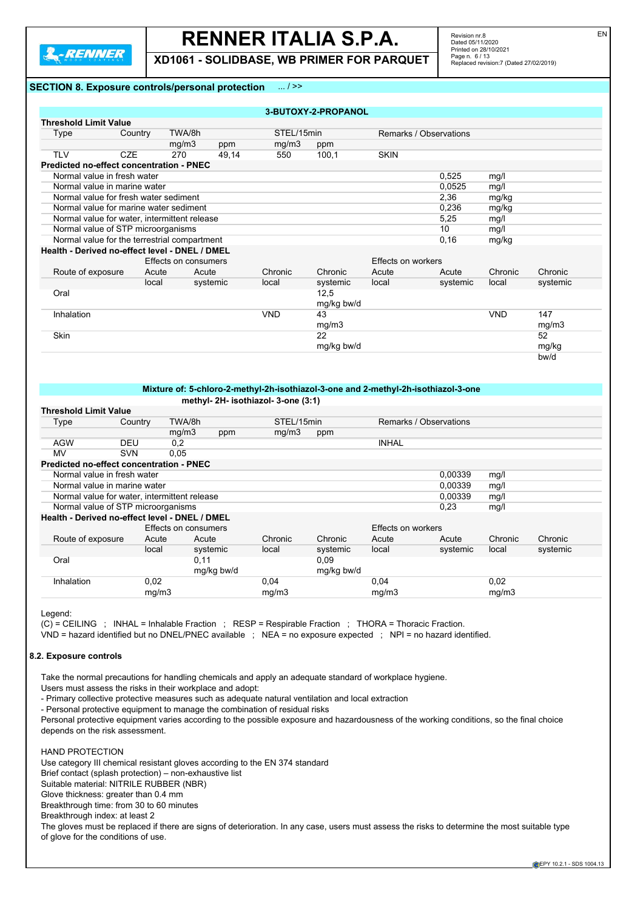

**XD1061 - SOLIDBASE, WB PRIMER FOR PARQUET**

Revision nr.8 Dated 05/11/2020 Printed on 28/10/2021 Page n. 6 / 13 Replaced revision:7 (Dated 27/02/2019)

#### **SECTION 8. Exposure controls/personal protection** ... / >>

|                                                |            |                      |          |                                                                                    | 3-BUTOXY-2-PROPANOL |                        |          |            |          |
|------------------------------------------------|------------|----------------------|----------|------------------------------------------------------------------------------------|---------------------|------------------------|----------|------------|----------|
| <b>Threshold Limit Value</b>                   |            |                      |          |                                                                                    |                     |                        |          |            |          |
| Type                                           | Country    | TWA/8h               |          | STEL/15min                                                                         |                     | Remarks / Observations |          |            |          |
|                                                |            | mg/m3                | ppm      | mg/m3                                                                              | ppm                 |                        |          |            |          |
| <b>TLV</b>                                     | CZE        | 270                  | 49,14    | 550                                                                                | 100,1               | <b>SKIN</b>            |          |            |          |
| Predicted no-effect concentration - PNEC       |            |                      |          |                                                                                    |                     |                        |          |            |          |
| Normal value in fresh water                    |            |                      |          |                                                                                    |                     |                        | 0.525    | mg/l       |          |
| Normal value in marine water                   |            |                      |          |                                                                                    |                     |                        | 0,0525   | mg/l       |          |
| Normal value for fresh water sediment          |            |                      |          |                                                                                    |                     |                        | 2,36     | mg/kg      |          |
| Normal value for marine water sediment         |            |                      |          |                                                                                    |                     |                        | 0,236    | mg/kg      |          |
| Normal value for water, intermittent release   |            |                      |          |                                                                                    |                     |                        | 5,25     | mg/l       |          |
| Normal value of STP microorganisms             |            |                      |          |                                                                                    |                     |                        | 10       | mg/l       |          |
| Normal value for the terrestrial compartment   |            |                      |          |                                                                                    |                     |                        | 0.16     | mg/kg      |          |
| Health - Derived no-effect level - DNEL / DMEL |            |                      |          |                                                                                    |                     |                        |          |            |          |
|                                                |            | Effects on consumers |          |                                                                                    |                     | Effects on workers     |          |            |          |
| Route of exposure                              | Acute      | Acute                |          | Chronic                                                                            | Chronic             | Acute                  | Acute    | Chronic    | Chronic  |
|                                                | local      |                      | systemic | local                                                                              | systemic            | local                  | systemic | local      | systemic |
| Oral                                           |            |                      |          |                                                                                    | 12,5<br>mg/kg bw/d  |                        |          |            |          |
| Inhalation                                     |            |                      |          | <b>VND</b>                                                                         | 43                  |                        |          | <b>VND</b> | 147      |
|                                                |            |                      |          |                                                                                    | mg/m3               |                        |          |            | mg/m3    |
| Skin                                           |            |                      |          |                                                                                    | 22                  |                        |          |            | 52       |
|                                                |            |                      |          |                                                                                    | mg/kg bw/d          |                        |          |            | mg/kg    |
|                                                |            |                      |          |                                                                                    |                     |                        |          |            | bw/d     |
|                                                |            |                      |          |                                                                                    |                     |                        |          |            |          |
|                                                |            |                      |          | Mixture of: 5-chloro-2-methyl-2h-isothiazol-3-one and 2-methyl-2h-isothiazol-3-one |                     |                        |          |            |          |
|                                                |            |                      |          | methyl- 2H- isothiazol- 3-one (3:1)                                                |                     |                        |          |            |          |
| <b>Threshold Limit Value</b>                   |            |                      |          |                                                                                    |                     |                        |          |            |          |
| Type                                           | Country    | TWA/8h               |          | STEL/15min                                                                         |                     | Remarks / Observations |          |            |          |
|                                                |            | mg/m3                | ppm      | mg/m3                                                                              | ppm                 |                        |          |            |          |
| <b>AGW</b>                                     | <b>DEU</b> | 0,2                  |          |                                                                                    |                     | <b>INHAL</b>           |          |            |          |
| <b>MV</b>                                      | <b>SVN</b> | 0.05                 |          |                                                                                    |                     |                        |          |            |          |

## **Predicted no-effect concentration - PNEC**

| Normal value in fresh water                    |       |                      |         |         |                    | 0,00339 | mg/l    |         |  |
|------------------------------------------------|-------|----------------------|---------|---------|--------------------|---------|---------|---------|--|
| Normal value in marine water                   |       |                      |         |         |                    | 0,00339 | mg/l    |         |  |
| Normal value for water, intermittent release   |       |                      |         |         |                    | 0.00339 | mg/l    |         |  |
| Normal value of STP microorganisms             |       |                      |         |         |                    | 0.23    | mg/l    |         |  |
| Health - Derived no-effect level - DNEL / DMEL |       |                      |         |         |                    |         |         |         |  |
|                                                |       | Effects on consumers |         |         | Effects on workers |         |         |         |  |
| Route of exposure                              | Acute | Acute                | Chronic | Chronic | Acute              | Acute   | Chronic | Chronic |  |

|            | local | systemic   | local | systemic   | local | systemic | local | systemic |
|------------|-------|------------|-------|------------|-------|----------|-------|----------|
| Oral       |       | 0.11       |       | 0.09       |       |          |       |          |
|            |       | mg/kg bw/d |       | mg/kg bw/d |       |          |       |          |
| Inhalation | 0,02  |            | 0.04  |            | 0,04  |          | 0,02  |          |
|            | ma/m3 |            | mq/m3 |            | mq/m3 |          | ma/m3 |          |

Legend:

(C) = CEILING ; INHAL = Inhalable Fraction ; RESP = Respirable Fraction ; THORA = Thoracic Fraction.

VND = hazard identified but no DNEL/PNEC available ; NEA = no exposure expected ; NPI = no hazard identified.

#### **8.2. Exposure controls**

Take the normal precautions for handling chemicals and apply an adequate standard of workplace hygiene.

Users must assess the risks in their workplace and adopt:

- Primary collective protective measures such as adequate natural ventilation and local extraction

- Personal protective equipment to manage the combination of residual risks

Personal protective equipment varies according to the possible exposure and hazardousness of the working conditions, so the final choice depends on the risk assessment.

HAND PROTECTION Use category III chemical resistant gloves according to the EN 374 standard Brief contact (splash protection) – non-exhaustive list Suitable material: NITRILE RUBBER (NBR) Glove thickness: greater than 0.4 mm Breakthrough time: from 30 to 60 minutes Breakthrough index: at least 2 The gloves must be replaced if there are signs of deterioration. In any case, users must assess the risks to determine the most suitable type

of glove for the conditions of use.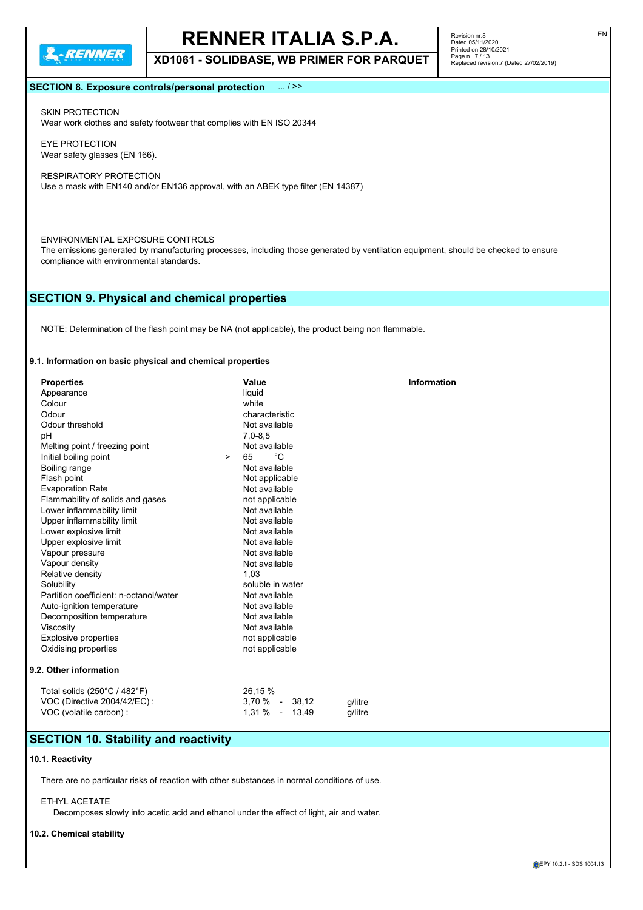

**XD1061 - SOLIDBASE, WB PRIMER FOR PARQUET**

Revision nr.8 Dated 05/11/2020 Printed on 28/10/2021 Page n. 7 / 13 Replaced revision:7 (Dated 27/02/2019)

#### **SECTION 8. Exposure controls/personal protection** ... / >>

SKIN PROTECTION Wear work clothes and safety footwear that complies with EN ISO 20344

EYE PROTECTION Wear safety glasses (EN 166).

RESPIRATORY PROTECTION Use a mask with EN140 and/or EN136 approval, with an ABEK type filter (EN 14387)

#### ENVIRONMENTAL EXPOSURE CONTROLS

The emissions generated by manufacturing processes, including those generated by ventilation equipment, should be checked to ensure compliance with environmental standards.

### **SECTION 9. Physical and chemical properties**

NOTE: Determination of the flash point may be NA (not applicable), the product being non flammable.

#### **9.1. Information on basic physical and chemical properties**

| <b>Properties</b>                            |        | Value              | <b>Information</b> |
|----------------------------------------------|--------|--------------------|--------------------|
| Appearance                                   |        | liquid             |                    |
| Colour                                       |        | white              |                    |
| Odour                                        |        | characteristic     |                    |
| Odour threshold                              |        | Not available      |                    |
| pH                                           |        | $7,0-8,5$          |                    |
| Melting point / freezing point               |        | Not available      |                    |
| Initial boiling point                        | $\geq$ | °C<br>65           |                    |
| Boiling range                                |        | Not available      |                    |
| Flash point                                  |        | Not applicable     |                    |
| <b>Evaporation Rate</b>                      |        | Not available      |                    |
| Flammability of solids and gases             |        | not applicable     |                    |
| Lower inflammability limit                   |        | Not available      |                    |
| Upper inflammability limit                   |        | Not available      |                    |
| Lower explosive limit                        |        | Not available      |                    |
| Upper explosive limit                        |        | Not available      |                    |
| Vapour pressure                              |        | Not available      |                    |
| Vapour density                               |        | Not available      |                    |
| Relative density                             |        | 1.03               |                    |
| Solubility                                   |        | soluble in water   |                    |
| Partition coefficient: n-octanol/water       |        | Not available      |                    |
| Auto-ignition temperature                    |        | Not available      |                    |
| Decomposition temperature                    |        | Not available      |                    |
| Viscosity                                    |        | Not available      |                    |
| <b>Explosive properties</b>                  |        | not applicable     |                    |
| Oxidising properties                         |        | not applicable     |                    |
| 9.2. Other information                       |        |                    |                    |
| Total solids $(250^{\circ}C / 482^{\circ}F)$ |        | 26,15 %            |                    |
| VOC (Directive 2004/42/EC):                  |        | $3,70\%$ - $38,12$ | g/litre            |
| VOC (volatile carbon) :                      |        | 1,31 %<br>$-13,49$ | a/litre            |

## **SECTION 10. Stability and reactivity**

#### **10.1. Reactivity**

There are no particular risks of reaction with other substances in normal conditions of use.

#### ETHYL ACETATE

Decomposes slowly into acetic acid and ethanol under the effect of light, air and water.

#### **10.2. Chemical stability**

EN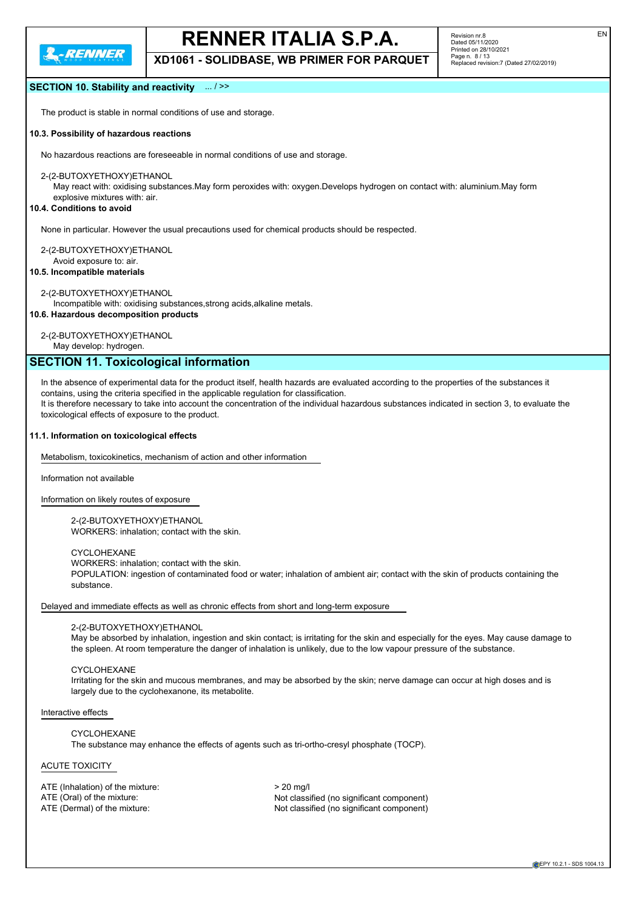

**XD1061 - SOLIDBASE, WB PRIMER FOR PARQUET**

#### **SECTION 10. Stability and reactivity** ... / >>

The product is stable in normal conditions of use and storage.

#### **10.3. Possibility of hazardous reactions**

No hazardous reactions are foreseeable in normal conditions of use and storage.

2-(2-BUTOXYETHOXY)ETHANOL

May react with: oxidising substances.May form peroxides with: oxygen.Develops hydrogen on contact with: aluminium.May form

explosive mixtures with: air.

### **10.4. Conditions to avoid**

None in particular. However the usual precautions used for chemical products should be respected.

2-(2-BUTOXYETHOXY)ETHANOL

Avoid exposure to: air.

**10.5. Incompatible materials**

#### 2-(2-BUTOXYETHOXY)ETHANOL

Incompatible with: oxidising substances,strong acids,alkaline metals.

**10.6. Hazardous decomposition products**

#### 2-(2-BUTOXYETHOXY)ETHANOL

May develop: hydrogen.

## **SECTION 11. Toxicological information**

In the absence of experimental data for the product itself, health hazards are evaluated according to the properties of the substances it contains, using the criteria specified in the applicable regulation for classification. It is therefore necessary to take into account the concentration of the individual hazardous substances indicated in section 3, to evaluate the

toxicological effects of exposure to the product.

#### **11.1. Information on toxicological effects**

Metabolism, toxicokinetics, mechanism of action and other information

Information not available

Information on likely routes of exposure

2-(2-BUTOXYETHOXY)ETHANOL WORKERS: inhalation; contact with the skin.

CYCLOHEXANE

WORKERS: inhalation; contact with the skin.

POPULATION: ingestion of contaminated food or water; inhalation of ambient air; contact with the skin of products containing the substance.

Delayed and immediate effects as well as chronic effects from short and long-term exposure

#### 2-(2-BUTOXYETHOXY)ETHANOL

May be absorbed by inhalation, ingestion and skin contact; is irritating for the skin and especially for the eyes. May cause damage to the spleen. At room temperature the danger of inhalation is unlikely, due to the low vapour pressure of the substance.

CYCLOHEXANE

Irritating for the skin and mucous membranes, and may be absorbed by the skin; nerve damage can occur at high doses and is largely due to the cyclohexanone, its metabolite.

Interactive effects

CYCLOHEXANE The substance may enhance the effects of agents such as tri-ortho-cresyl phosphate (TOCP).

#### ACUTE TOXICITY

ATE (Inhalation) of the mixture:  $> 20$  mg/l

ATE (Oral) of the mixture: Not classified (no significant component) ATE (Dermal) of the mixture:  $\blacksquare$  Not classified (no significant component)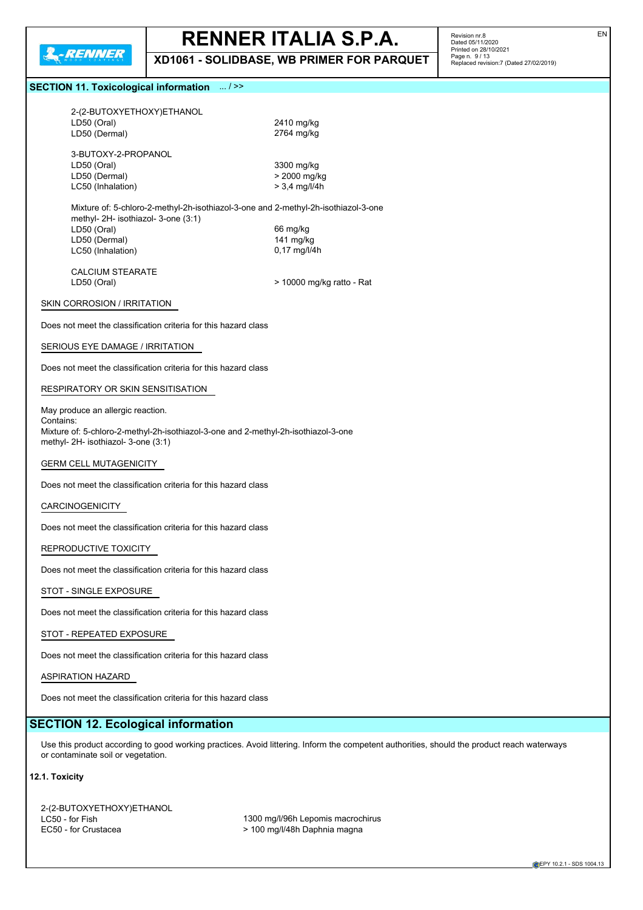

**XD1061 - SOLIDBASE, WB PRIMER FOR PARQUET**

Revision nr.8<br>Dated 05/11/2020<br>Printed on 28/10/2021<br>Page n. 9 / 13<br>Replaced revision:7 (Dated 27/02/2019)

## **SECTION 11. Toxicological information**

| SECTION 11. TOXICOlOGICAL INTORMATION 3.1.22                                                                                             |                                                                                                                                             |  |  |  |
|------------------------------------------------------------------------------------------------------------------------------------------|---------------------------------------------------------------------------------------------------------------------------------------------|--|--|--|
| 2-(2-BUTOXYETHOXY)ETHANOL<br>LD50 (Oral)                                                                                                 | 2410 mg/kg                                                                                                                                  |  |  |  |
| LD50 (Dermal)<br>3-BUTOXY-2-PROPANOL<br>LD50 (Oral)<br>LD50 (Dermal)                                                                     | 2764 mg/kg<br>3300 mg/kg<br>> 2000 mg/kg                                                                                                    |  |  |  |
| LC50 (Inhalation)                                                                                                                        | $> 3,4$ mg/l/4h                                                                                                                             |  |  |  |
| Mixture of: 5-chloro-2-methyl-2h-isothiazol-3-one and 2-methyl-2h-isothiazol-3-one<br>methyl- 2H- isothiazol- 3-one (3:1)<br>LD50 (Oral) | 66 mg/kg                                                                                                                                    |  |  |  |
| LD50 (Dermal)<br>LC50 (Inhalation)                                                                                                       | 141 mg/kg<br>0,17 mg/l/4h                                                                                                                   |  |  |  |
| <b>CALCIUM STEARATE</b><br>LD50 (Oral)                                                                                                   | > 10000 mg/kg ratto - Rat                                                                                                                   |  |  |  |
| SKIN CORROSION / IRRITATION                                                                                                              |                                                                                                                                             |  |  |  |
| Does not meet the classification criteria for this hazard class                                                                          |                                                                                                                                             |  |  |  |
| SERIOUS EYE DAMAGE / IRRITATION                                                                                                          |                                                                                                                                             |  |  |  |
| Does not meet the classification criteria for this hazard class                                                                          |                                                                                                                                             |  |  |  |
| RESPIRATORY OR SKIN SENSITISATION                                                                                                        |                                                                                                                                             |  |  |  |
| May produce an allergic reaction.                                                                                                        |                                                                                                                                             |  |  |  |
| Contains:<br>Mixture of: 5-chloro-2-methyl-2h-isothiazol-3-one and 2-methyl-2h-isothiazol-3-one<br>methyl- 2H- isothiazol- 3-one (3:1)   |                                                                                                                                             |  |  |  |
| <b>GERM CELL MUTAGENICITY</b>                                                                                                            |                                                                                                                                             |  |  |  |
| Does not meet the classification criteria for this hazard class                                                                          |                                                                                                                                             |  |  |  |
| <b>CARCINOGENICITY</b>                                                                                                                   |                                                                                                                                             |  |  |  |
| Does not meet the classification criteria for this hazard class                                                                          |                                                                                                                                             |  |  |  |
| REPRODUCTIVE TOXICITY                                                                                                                    |                                                                                                                                             |  |  |  |
| Does not meet the classification criteria for this hazard class                                                                          |                                                                                                                                             |  |  |  |
| STOT - SINGLE EXPOSURE                                                                                                                   |                                                                                                                                             |  |  |  |
| Does not meet the classification criteria for this hazard class                                                                          |                                                                                                                                             |  |  |  |
| STOT - REPEATED EXPOSURE                                                                                                                 |                                                                                                                                             |  |  |  |
| Does not meet the classification criteria for this hazard class                                                                          |                                                                                                                                             |  |  |  |
| <b>ASPIRATION HAZARD</b>                                                                                                                 |                                                                                                                                             |  |  |  |
| Does not meet the classification criteria for this hazard class                                                                          |                                                                                                                                             |  |  |  |
| <b>SECTION 12. Ecological information</b>                                                                                                |                                                                                                                                             |  |  |  |
| or contaminate soil or vegetation.                                                                                                       | Use this product according to good working practices. Avoid littering. Inform the competent authorities, should the product reach waterways |  |  |  |
| 12.1. Toxicity                                                                                                                           |                                                                                                                                             |  |  |  |
| 2-(2-BUTOXYETHOXY)ETHANOL                                                                                                                |                                                                                                                                             |  |  |  |
| LC50 - for Fish<br>EC50 - for Crustacea                                                                                                  | 1300 mg/l/96h Lepomis macrochirus<br>> 100 mg/l/48h Daphnia magna                                                                           |  |  |  |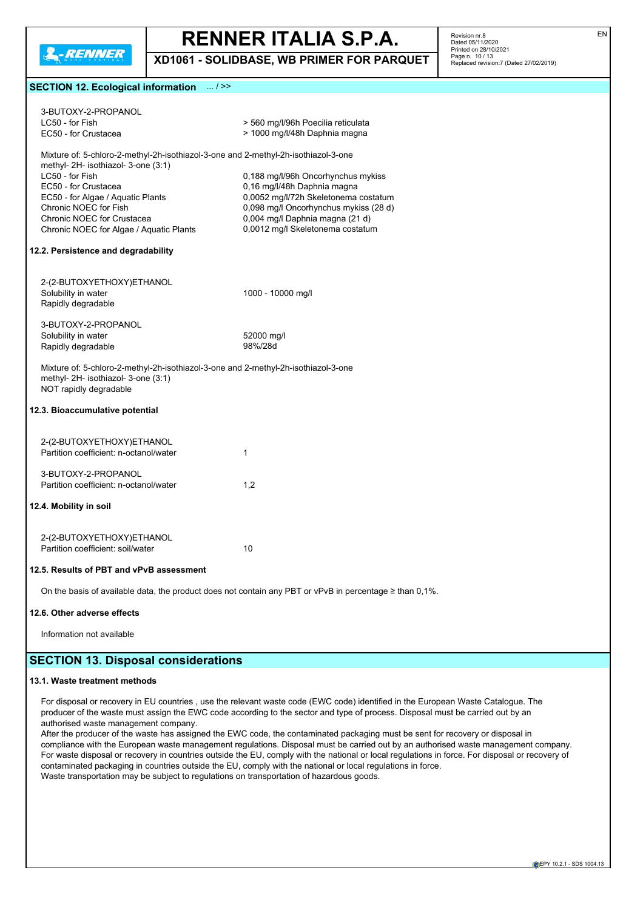

**XD1061 - SOLIDBASE, WB PRIMER FOR PARQUET**

Revision nr.8 Dated 05/11/2020 Printed on 28/10/2021 Page n. 10 / 13 Replaced revision:7 (Dated 27/02/2019)

#### **SECTION 12. Ecological information** ... / >>

| 3-BUTOXY-2-PROPANOL                                                                                                                                 |                                                                                                              |
|-----------------------------------------------------------------------------------------------------------------------------------------------------|--------------------------------------------------------------------------------------------------------------|
| LC50 - for Fish                                                                                                                                     | > 560 mg/l/96h Poecilia reticulata                                                                           |
| EC50 - for Crustacea                                                                                                                                | > 1000 mg/l/48h Daphnia magna                                                                                |
| Mixture of: 5-chloro-2-methyl-2h-isothiazol-3-one and 2-methyl-2h-isothiazol-3-one                                                                  |                                                                                                              |
| methyl- 2H- isothiazol- 3-one (3:1)                                                                                                                 |                                                                                                              |
| LC50 - for Fish                                                                                                                                     | 0,188 mg/l/96h Oncorhynchus mykiss                                                                           |
| EC50 - for Crustacea                                                                                                                                | 0.16 mg/l/48h Daphnia magna                                                                                  |
| EC50 - for Algae / Aquatic Plants                                                                                                                   | 0,0052 mg/l/72h Skeletonema costatum                                                                         |
| Chronic NOEC for Fish                                                                                                                               | 0,098 mg/l Oncorhynchus mykiss (28 d)                                                                        |
| Chronic NOEC for Crustacea                                                                                                                          | 0,004 mg/l Daphnia magna (21 d)                                                                              |
| Chronic NOEC for Algae / Aquatic Plants                                                                                                             | 0,0012 mg/l Skeletonema costatum                                                                             |
| 12.2. Persistence and degradability                                                                                                                 |                                                                                                              |
|                                                                                                                                                     |                                                                                                              |
| 2-(2-BUTOXYETHOXY)ETHANOL                                                                                                                           |                                                                                                              |
| Solubility in water                                                                                                                                 | 1000 - 10000 mg/l                                                                                            |
| Rapidly degradable                                                                                                                                  |                                                                                                              |
|                                                                                                                                                     |                                                                                                              |
| 3-BUTOXY-2-PROPANOL                                                                                                                                 |                                                                                                              |
| Solubility in water                                                                                                                                 | 52000 mg/l                                                                                                   |
| Rapidly degradable                                                                                                                                  | 98%/28d                                                                                                      |
| Mixture of: 5-chloro-2-methyl-2h-isothiazol-3-one and 2-methyl-2h-isothiazol-3-one<br>methyl- 2H- isothiazol- 3-one (3:1)<br>NOT rapidly degradable |                                                                                                              |
| 12.3. Bioaccumulative potential                                                                                                                     |                                                                                                              |
| 2-(2-BUTOXYETHOXY)ETHANOL                                                                                                                           |                                                                                                              |
| Partition coefficient: n-octanol/water                                                                                                              | 1                                                                                                            |
|                                                                                                                                                     |                                                                                                              |
| 3-BUTOXY-2-PROPANOL                                                                                                                                 |                                                                                                              |
| Partition coefficient: n-octanol/water                                                                                                              | 1,2                                                                                                          |
|                                                                                                                                                     |                                                                                                              |
| 12.4. Mobility in soil                                                                                                                              |                                                                                                              |
|                                                                                                                                                     |                                                                                                              |
| 2-(2-BUTOXYETHOXY)ETHANOL                                                                                                                           |                                                                                                              |
| Partition coefficient: soil/water                                                                                                                   | 10                                                                                                           |
|                                                                                                                                                     |                                                                                                              |
| 12.5. Results of PBT and vPvB assessment                                                                                                            |                                                                                                              |
|                                                                                                                                                     | On the basis of available data, the product does not contain any PBT or vPvB in percentage $\geq$ than 0,1%. |
|                                                                                                                                                     |                                                                                                              |

#### **12.6. Other adverse effects**

Information not available

## **SECTION 13. Disposal considerations**

#### **13.1. Waste treatment methods**

For disposal or recovery in EU countries , use the relevant waste code (EWC code) identified in the European Waste Catalogue. The producer of the waste must assign the EWC code according to the sector and type of process. Disposal must be carried out by an authorised waste management company.

After the producer of the waste has assigned the EWC code, the contaminated packaging must be sent for recovery or disposal in compliance with the European waste management regulations. Disposal must be carried out by an authorised waste management company. For waste disposal or recovery in countries outside the EU, comply with the national or local regulations in force. For disposal or recovery of contaminated packaging in countries outside the EU, comply with the national or local regulations in force. Waste transportation may be subject to regulations on transportation of hazardous goods.

EN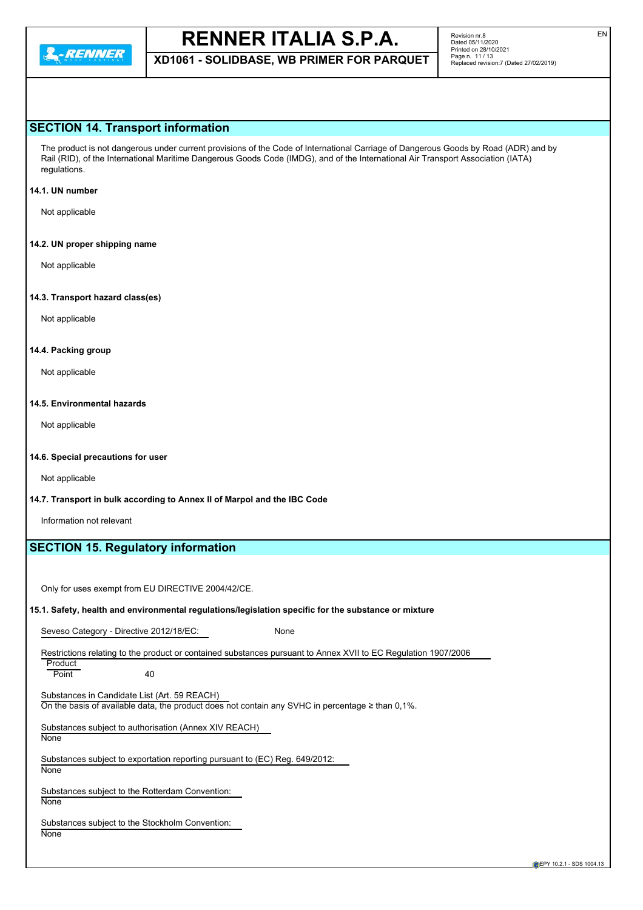

**XD1061 - SOLIDBASE, WB PRIMER FOR PARQUET**

### **SECTION 14. Transport information**

The product is not dangerous under current provisions of the Code of International Carriage of Dangerous Goods by Road (ADR) and by Rail (RID), of the International Maritime Dangerous Goods Code (IMDG), and of the International Air Transport Association (IATA) regulations.

#### **14.1. UN number**

Not applicable

#### **14.2. UN proper shipping name**

Not applicable

#### **14.3. Transport hazard class(es)**

Not applicable

#### **14.4. Packing group**

Not applicable

#### **14.5. Environmental hazards**

Not applicable

#### **14.6. Special precautions for user**

Not applicable

#### **14.7. Transport in bulk according to Annex II of Marpol and the IBC Code**

Information not relevant

## **SECTION 15. Regulatory information**

Only for uses exempt from EU DIRECTIVE 2004/42/CE.

#### **15.1. Safety, health and environmental regulations/legislation specific for the substance or mixture**

Seveso Category - Directive 2012/18/EC: None

Restrictions relating to the product or contained substances pursuant to Annex XVII to EC Regulation 1907/2006

Product Point 40

Substances in Candidate List (Art. 59 REACH) On the basis of available data, the product does not contain any SVHC in percentage  $\geq$  than 0,1%.

Substances subject to authorisation (Annex XIV REACH) None

Substances subject to exportation reporting pursuant to (EC) Reg. 649/2012:

**None** 

Substances subject to the Rotterdam Convention: **None** 

Substances subject to the Stockholm Convention: **None**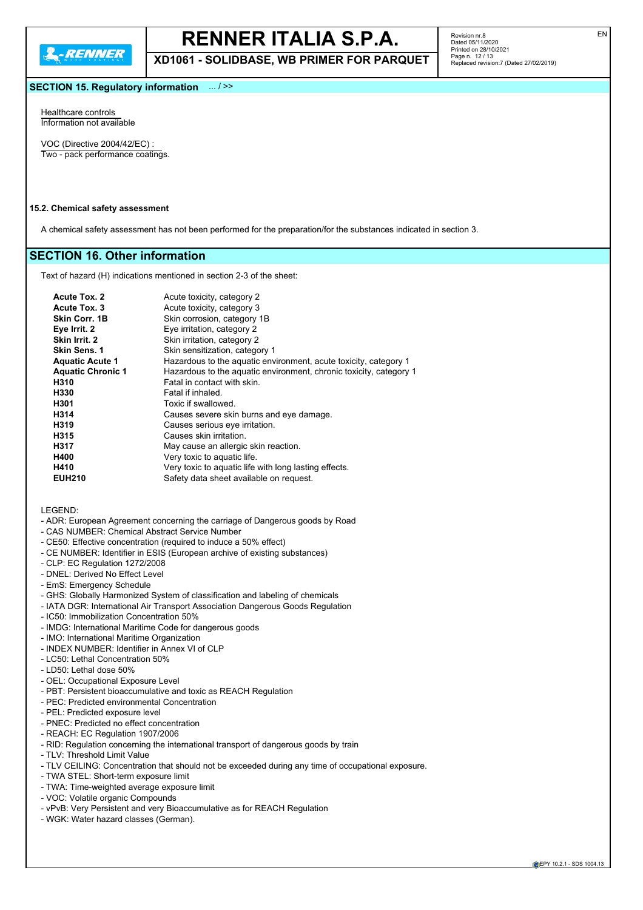

**XD1061 - SOLIDBASE, WB PRIMER FOR PARQUET**

EN

#### **SECTION 15. Regulatory information** ... / >>

Healthcare controls Information not available

VOC (Directive 2004/42/EC) : Two - pack performance coatings.

#### **15.2. Chemical safety assessment**

A chemical safety assessment has not been performed for the preparation/for the substances indicated in section 3.

## **SECTION 16. Other information**

Text of hazard (H) indications mentioned in section 2-3 of the sheet:

| Acute Tox. 2             | Acute toxicity, category 2                                         |
|--------------------------|--------------------------------------------------------------------|
| Acute Tox. 3             | Acute toxicity, category 3                                         |
| Skin Corr. 1B            | Skin corrosion, category 1B                                        |
| Eye Irrit. 2             | Eye irritation, category 2                                         |
| Skin Irrit. 2            | Skin irritation, category 2                                        |
| <b>Skin Sens. 1</b>      | Skin sensitization, category 1                                     |
| <b>Aquatic Acute 1</b>   | Hazardous to the aquatic environment, acute toxicity, category 1   |
| <b>Aquatic Chronic 1</b> | Hazardous to the aquatic environment, chronic toxicity, category 1 |
| H310                     | Fatal in contact with skin.                                        |
| H330                     | Fatal if inhaled.                                                  |
| H301                     | Toxic if swallowed.                                                |
| H314                     | Causes severe skin burns and eye damage.                           |
| H319                     | Causes serious eye irritation.                                     |
| H315                     | Causes skin irritation.                                            |
| H317                     | May cause an allergic skin reaction.                               |
| H400                     | Very toxic to aquatic life.                                        |
| H410                     | Very toxic to aquatic life with long lasting effects.              |
| <b>EUH210</b>            | Safety data sheet available on request.                            |

LEGEND:

- ADR: European Agreement concerning the carriage of Dangerous goods by Road
- CAS NUMBER: Chemical Abstract Service Number
- CE50: Effective concentration (required to induce a 50% effect)
- CE NUMBER: Identifier in ESIS (European archive of existing substances)
- CLP: EC Regulation 1272/2008
- DNEL: Derived No Effect Level
- EmS: Emergency Schedule
- GHS: Globally Harmonized System of classification and labeling of chemicals
- IATA DGR: International Air Transport Association Dangerous Goods Regulation
- IC50: Immobilization Concentration 50%
- IMDG: International Maritime Code for dangerous goods
- IMO: International Maritime Organization
- INDEX NUMBER: Identifier in Annex VI of CLP
- LC50: Lethal Concentration 50%
- LD50: Lethal dose 50%
- OEL: Occupational Exposure Level
- PBT: Persistent bioaccumulative and toxic as REACH Regulation
- PEC: Predicted environmental Concentration
- PEL: Predicted exposure level
- PNEC: Predicted no effect concentration
- REACH: EC Regulation 1907/2006
- RID: Regulation concerning the international transport of dangerous goods by train
- TLV: Threshold Limit Value
- TLV CEILING: Concentration that should not be exceeded during any time of occupational exposure.
- TWA STEL: Short-term exposure limit
- TWA: Time-weighted average exposure limit
- VOC: Volatile organic Compounds
- vPvB: Very Persistent and very Bioaccumulative as for REACH Regulation
- WGK: Water hazard classes (German).